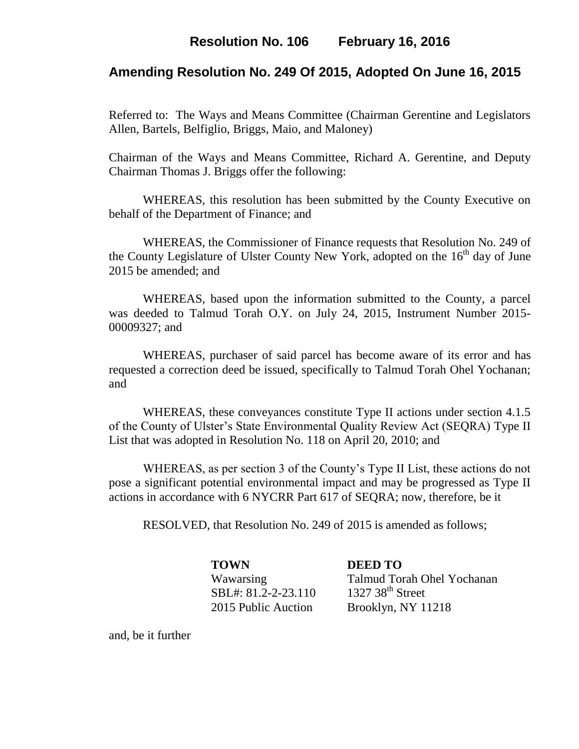# **Resolution No. 106 February 16, 2016**

## **Amending Resolution No. 249 Of 2015, Adopted On June 16, 2015**

Referred to: The Ways and Means Committee (Chairman Gerentine and Legislators Allen, Bartels, Belfiglio, Briggs, Maio, and Maloney)

Chairman of the Ways and Means Committee, Richard A. Gerentine, and Deputy Chairman Thomas J. Briggs offer the following:

WHEREAS, this resolution has been submitted by the County Executive on behalf of the Department of Finance; and

WHEREAS, the Commissioner of Finance requests that Resolution No. 249 of the County Legislature of Ulster County New York, adopted on the  $16<sup>th</sup>$  day of June 2015 be amended; and

WHEREAS, based upon the information submitted to the County, a parcel was deeded to Talmud Torah O.Y. on July 24, 2015, Instrument Number 2015- 00009327; and

WHEREAS, purchaser of said parcel has become aware of its error and has requested a correction deed be issued, specifically to Talmud Torah Ohel Yochanan; and

WHEREAS, these conveyances constitute Type II actions under section 4.1.5 of the County of Ulster's State Environmental Quality Review Act (SEQRA) Type II List that was adopted in Resolution No. 118 on April 20, 2010; and

WHEREAS, as per section 3 of the County's Type II List, these actions do not pose a significant potential environmental impact and may be progressed as Type II actions in accordance with 6 NYCRR Part 617 of SEQRA; now, therefore, be it

RESOLVED, that Resolution No. 249 of 2015 is amended as follows;

**TOWN DEED TO** SBL#: 81.2-2-23.110 1327 38<sup>th</sup> Street

Wawarsing Talmud Torah Ohel Yochanan 2015 Public Auction Brooklyn, NY 11218

and, be it further